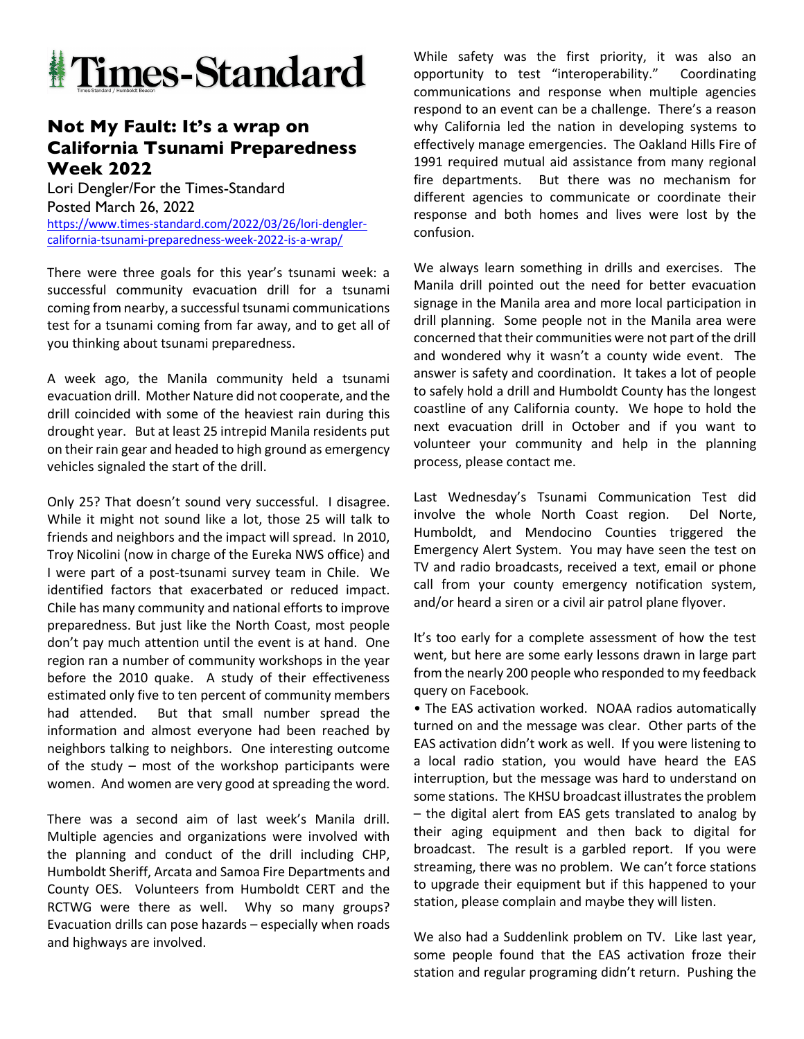

## **Not My Fault: It's a wrap on California Tsunami Preparedness Week 2022**

Lori Dengler/For the Times-Standard Posted March 26, 2022 https://www.times-standard.com/2022/03/26/lori-denglercalifornia-tsunami-preparedness-week-2022-is-a-wrap/

There were three goals for this year's tsunami week: a successful community evacuation drill for a tsunami coming from nearby, a successful tsunami communications test for a tsunami coming from far away, and to get all of you thinking about tsunami preparedness.

A week ago, the Manila community held a tsunami evacuation drill. Mother Nature did not cooperate, and the drill coincided with some of the heaviest rain during this drought year. But at least 25 intrepid Manila residents put on their rain gear and headed to high ground as emergency vehicles signaled the start of the drill.

Only 25? That doesn't sound very successful. I disagree. While it might not sound like a lot, those 25 will talk to friends and neighbors and the impact will spread. In 2010, Troy Nicolini (now in charge of the Eureka NWS office) and I were part of a post-tsunami survey team in Chile. We identified factors that exacerbated or reduced impact. Chile has many community and national efforts to improve preparedness. But just like the North Coast, most people don't pay much attention until the event is at hand. One region ran a number of community workshops in the year before the 2010 quake. A study of their effectiveness estimated only five to ten percent of community members had attended. But that small number spread the information and almost everyone had been reached by neighbors talking to neighbors. One interesting outcome of the study – most of the workshop participants were women. And women are very good at spreading the word.

There was a second aim of last week's Manila drill. Multiple agencies and organizations were involved with the planning and conduct of the drill including CHP, Humboldt Sheriff, Arcata and Samoa Fire Departments and County OES. Volunteers from Humboldt CERT and the RCTWG were there as well. Why so many groups? Evacuation drills can pose hazards – especially when roads and highways are involved.

While safety was the first priority, it was also an opportunity to test "interoperability." Coordinating communications and response when multiple agencies respond to an event can be a challenge. There's a reason why California led the nation in developing systems to effectively manage emergencies. The Oakland Hills Fire of 1991 required mutual aid assistance from many regional fire departments. But there was no mechanism for different agencies to communicate or coordinate their response and both homes and lives were lost by the confusion.

We always learn something in drills and exercises. The Manila drill pointed out the need for better evacuation signage in the Manila area and more local participation in drill planning. Some people not in the Manila area were concerned that their communities were not part of the drill and wondered why it wasn't a county wide event. The answer is safety and coordination. It takes a lot of people to safely hold a drill and Humboldt County has the longest coastline of any California county. We hope to hold the next evacuation drill in October and if you want to volunteer your community and help in the planning process, please contact me.

Last Wednesday's Tsunami Communication Test did involve the whole North Coast region. Del Norte, Humboldt, and Mendocino Counties triggered the Emergency Alert System. You may have seen the test on TV and radio broadcasts, received a text, email or phone call from your county emergency notification system, and/or heard a siren or a civil air patrol plane flyover.

It's too early for a complete assessment of how the test went, but here are some early lessons drawn in large part from the nearly 200 people who responded to my feedback query on Facebook.

• The EAS activation worked. NOAA radios automatically turned on and the message was clear. Other parts of the EAS activation didn't work as well. If you were listening to a local radio station, you would have heard the EAS interruption, but the message was hard to understand on some stations. The KHSU broadcast illustrates the problem – the digital alert from EAS gets translated to analog by their aging equipment and then back to digital for broadcast. The result is a garbled report. If you were streaming, there was no problem. We can't force stations to upgrade their equipment but if this happened to your station, please complain and maybe they will listen.

We also had a Suddenlink problem on TV. Like last year, some people found that the EAS activation froze their station and regular programing didn't return. Pushing the